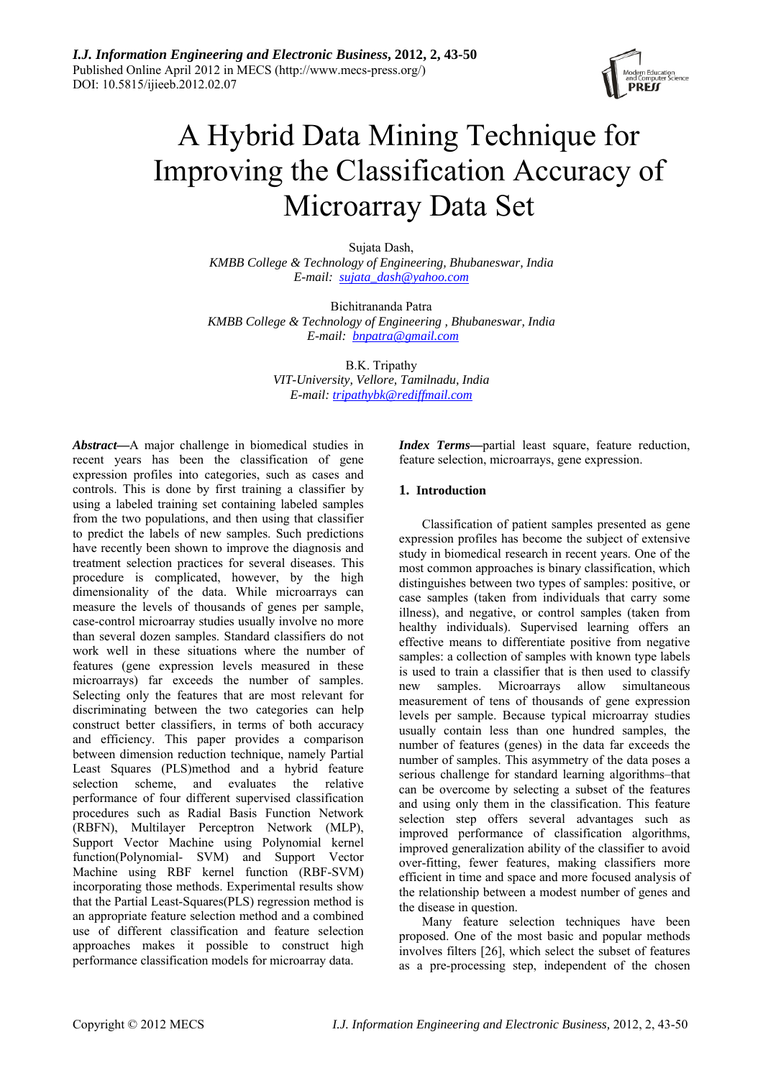

# A Hybrid Data Mining Technique for Improving the Classification Accuracy of Microarray Data Set

Sujata Dash, *KMBB College & Technology of Engineering, Bhubaneswar, India E-mail: sujata\_dash@yahoo.com*

Bichitrananda Patra *KMBB College & Technology of Engineering , Bhubaneswar, India E-mail: bnpatra@gmail.com*

> B.K. Tripathy *VIT-University, Vellore, Tamilnadu, India E-mail: tripathybk@rediffmail.com*

*Abstract***—**A major challenge in biomedical studies in recent years has been the classification of gene expression profiles into categories, such as cases and controls. This is done by first training a classifier by using a labeled training set containing labeled samples from the two populations, and then using that classifier to predict the labels of new samples. Such predictions have recently been shown to improve the diagnosis and treatment selection practices for several diseases. This procedure is complicated, however, by the high dimensionality of the data. While microarrays can measure the levels of thousands of genes per sample, case-control microarray studies usually involve no more than several dozen samples. Standard classifiers do not work well in these situations where the number of features (gene expression levels measured in these microarrays) far exceeds the number of samples. Selecting only the features that are most relevant for discriminating between the two categories can help construct better classifiers, in terms of both accuracy and efficiency. This paper provides a comparison between dimension reduction technique, namely Partial Least Squares (PLS)method and a hybrid feature selection scheme, and evaluates the relative performance of four different supervised classification procedures such as Radial Basis Function Network (RBFN), Multilayer Perceptron Network (MLP), Support Vector Machine using Polynomial kernel function(Polynomial- SVM) and Support Vector Machine using RBF kernel function (RBF-SVM) incorporating those methods. Experimental results show that the Partial Least-Squares(PLS) regression method is an appropriate feature selection method and a combined use of different classification and feature selection approaches makes it possible to construct high performance classification models for microarray data.

*Index Terms***—**partial least square, feature reduction, feature selection, microarrays, gene expression.

## **1. Introduction**

Classification of patient samples presented as gene expression profiles has become the subject of extensive study in biomedical research in recent years. One of the most common approaches is binary classification, which distinguishes between two types of samples: positive, or case samples (taken from individuals that carry some illness), and negative, or control samples (taken from healthy individuals). Supervised learning offers an effective means to differentiate positive from negative samples: a collection of samples with known type labels is used to train a classifier that is then used to classify new samples. Microarrays allow simultaneous measurement of tens of thousands of gene expression levels per sample. Because typical microarray studies usually contain less than one hundred samples, the number of features (genes) in the data far exceeds the number of samples. This asymmetry of the data poses a serious challenge for standard learning algorithms–that can be overcome by selecting a subset of the features and using only them in the classification. This feature selection step offers several advantages such as improved performance of classification algorithms, improved generalization ability of the classifier to avoid over-fitting, fewer features, making classifiers more efficient in time and space and more focused analysis of the relationship between a modest number of genes and the disease in question.

Many feature selection techniques have been proposed. One of the most basic and popular methods involves filters [26], which select the subset of features as a pre-processing step, independent of the chosen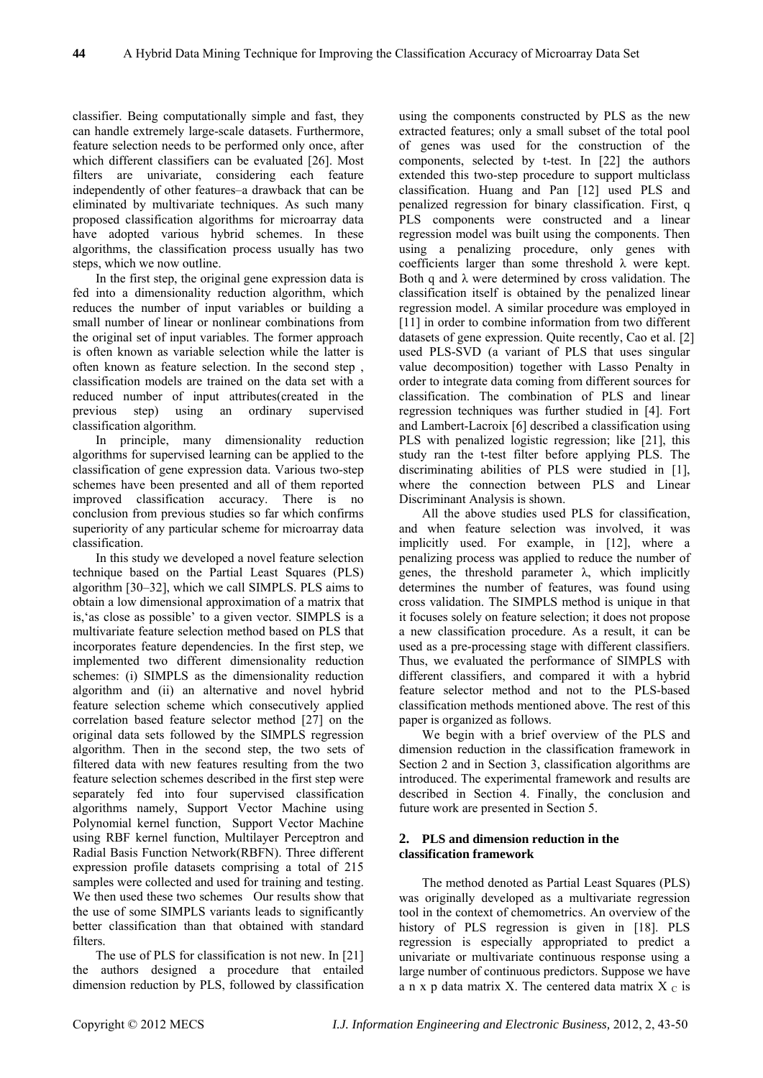classifier. Being computationally simple and fast, they can handle extremely large-scale datasets. Furthermore, feature selection needs to be performed only once, after which different classifiers can be evaluated [26]. Most filters are univariate, considering each feature independently of other features–a drawback that can be eliminated by multivariate techniques. As such many proposed classification algorithms for microarray data have adopted various hybrid schemes. In these algorithms, the classification process usually has two steps, which we now outline.

In the first step, the original gene expression data is fed into a dimensionality reduction algorithm, which reduces the number of input variables or building a small number of linear or nonlinear combinations from the original set of input variables. The former approach is often known as variable selection while the latter is often known as feature selection. In the second step , classification models are trained on the data set with a reduced number of input attributes(created in the previous step) using an ordinary supervised classification algorithm.

In principle, many dimensionality reduction algorithms for supervised learning can be applied to the classification of gene expression data. Various two-step schemes have been presented and all of them reported improved classification accuracy. There is no conclusion from previous studies so far which confirms superiority of any particular scheme for microarray data classification.

In this study we developed a novel feature selection technique based on the Partial Least Squares (PLS) algorithm [30–32], which we call SIMPLS. PLS aims to obtain a low dimensional approximation of a matrix that is,'as close as possible' to a given vector. SIMPLS is a multivariate feature selection method based on PLS that incorporates feature dependencies. In the first step, we implemented two different dimensionality reduction schemes: (i) SIMPLS as the dimensionality reduction algorithm and (ii) an alternative and novel hybrid feature selection scheme which consecutively applied correlation based feature selector method [27] on the original data sets followed by the SIMPLS regression algorithm. Then in the second step, the two sets of filtered data with new features resulting from the two feature selection schemes described in the first step were separately fed into four supervised classification algorithms namely, Support Vector Machine using Polynomial kernel function, Support Vector Machine using RBF kernel function, Multilayer Perceptron and Radial Basis Function Network(RBFN). Three different expression profile datasets comprising a total of 215 samples were collected and used for training and testing. We then used these two schemes Our results show that the use of some SIMPLS variants leads to significantly better classification than that obtained with standard filters.

The use of PLS for classification is not new. In [21] the authors designed a procedure that entailed dimension reduction by PLS, followed by classification using the components constructed by PLS as the new extracted features; only a small subset of the total pool of genes was used for the construction of the components, selected by t-test. In [22] the authors extended this two-step procedure to support multiclass classification. Huang and Pan [12] used PLS and penalized regression for binary classification. First, q PLS components were constructed and a linear regression model was built using the components. Then using a penalizing procedure, only genes with coefficients larger than some threshold  $\lambda$  were kept. Both q and  $\lambda$  were determined by cross validation. The classification itself is obtained by the penalized linear regression model. A similar procedure was employed in [11] in order to combine information from two different datasets of gene expression. Quite recently, Cao et al. [2] used PLS-SVD (a variant of PLS that uses singular value decomposition) together with Lasso Penalty in order to integrate data coming from different sources for classification. The combination of PLS and linear regression techniques was further studied in [4]. Fort and Lambert-Lacroix [6] described a classification using PLS with penalized logistic regression; like [21], this study ran the t-test filter before applying PLS. The discriminating abilities of PLS were studied in [1], where the connection between PLS and Linear Discriminant Analysis is shown.

All the above studies used PLS for classification, and when feature selection was involved, it was implicitly used. For example, in [12], where a penalizing process was applied to reduce the number of genes, the threshold parameter  $\lambda$ , which implicitly determines the number of features, was found using cross validation. The SIMPLS method is unique in that it focuses solely on feature selection; it does not propose a new classification procedure. As a result, it can be used as a pre-processing stage with different classifiers. Thus, we evaluated the performance of SIMPLS with different classifiers, and compared it with a hybrid feature selector method and not to the PLS-based classification methods mentioned above. The rest of this paper is organized as follows.

We begin with a brief overview of the PLS and dimension reduction in the classification framework in Section 2 and in Section 3, classification algorithms are introduced. The experimental framework and results are described in Section 4. Finally, the conclusion and future work are presented in Section 5.

## **2. PLS and dimension reduction in the classification framework**

The method denoted as Partial Least Squares (PLS) was originally developed as a multivariate regression tool in the context of chemometrics. An overview of the history of PLS regression is given in [18]. PLS regression is especially appropriated to predict a univariate or multivariate continuous response using a large number of continuous predictors. Suppose we have a n x p data matrix X. The centered data matrix  $X_C$  is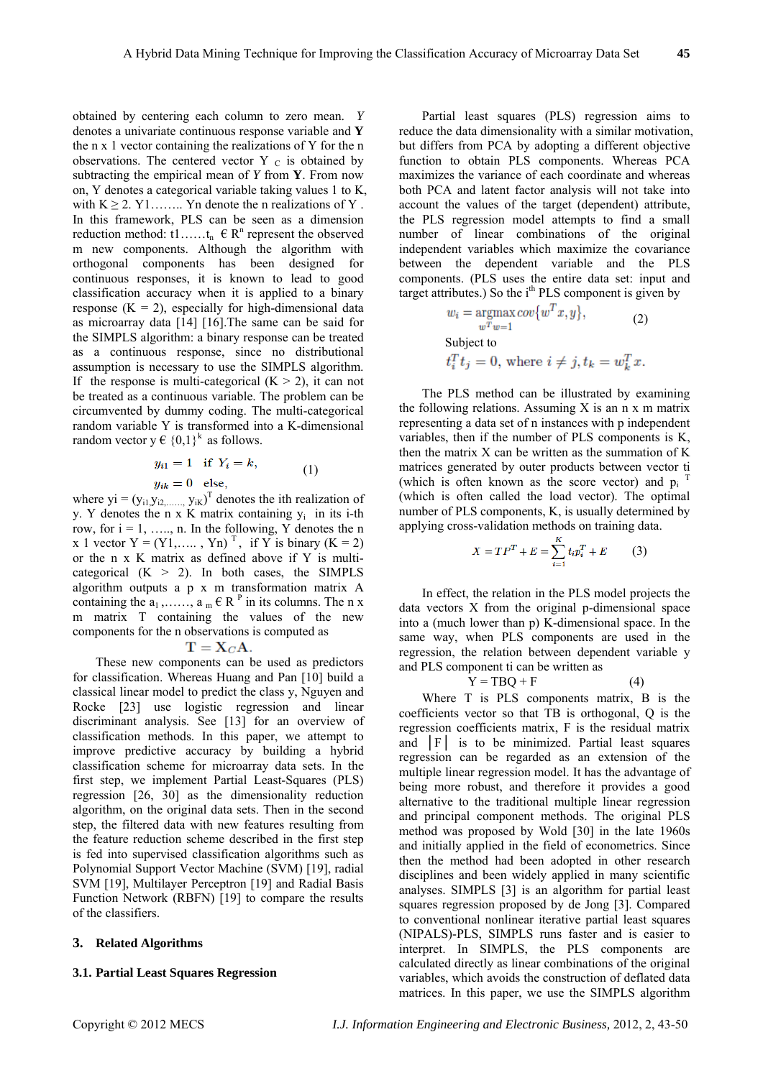obtained by centering each column to zero mean. *Y* denotes a univariate continuous response variable and **Y** the n x 1 vector containing the realizations of Y for the n observations. The centered vector Y  $_C$  is obtained by subtracting the empirical mean of *Y* from **Y**. From now on, Y denotes a categorical variable taking values 1 to K, with  $K \geq 2$ . Y1…….. Yn denote the n realizations of Y. In this framework, PLS can be seen as a dimension reduction method:  $t1$ ......t<sub>n</sub>  $\in$  R<sup>n</sup> represent the observed m new components. Although the algorithm with orthogonal components has been designed for continuous responses, it is known to lead to good classification accuracy when it is applied to a binary response  $(K = 2)$ , especially for high-dimensional data as microarray data [14] [16].The same can be said for the SIMPLS algorithm: a binary response can be treated as a continuous response, since no distributional assumption is necessary to use the SIMPLS algorithm. If the response is multi-categorical  $(K > 2)$ , it can not be treated as a continuous variable. The problem can be circumvented by dummy coding. The multi-categorical random variable Y is transformed into a K-dimensional random vector  $y \in \{0,1\}^k$  as follows.

$$
y_{i1} = 1 \quad \text{if } Y_i = k,
$$
  

$$
y_{ik} = 0 \quad \text{else,}
$$
 (1)

where  $yi = (y_{i1}, y_{i2}, \dots, y_{iK})^T$  denotes the ith realization of y. Y denotes the n x K matrix containing  $y_i$  in its i-th row, for  $i = 1, \ldots, n$ . In the following, Y denotes the n x 1 vector  $Y = (Y1, \dots, Yn)^T$ , if Y is binary  $(K = 2)$ or the n x K matrix as defined above if Y is multicategorical  $(K > 2)$ . In both cases, the SIMPLS algorithm outputs a p x m transformation matrix A containing the  $a_1$ ,.....,  $a_m \in R^P$  in its columns. The n x m matrix T containing the values of the new components for the n observations is computed as

$$
\boldsymbol{\Gamma}=\mathbf{X}_C\mathbf{A}
$$

These new components can be used as predictors for classification. Whereas Huang and Pan [10] build a classical linear model to predict the class y, Nguyen and Rocke [23] use logistic regression and linear discriminant analysis. See [13] for an overview of classification methods. In this paper, we attempt to improve predictive accuracy by building a hybrid classification scheme for microarray data sets. In the first step, we implement Partial Least-Squares (PLS) regression [26, 30] as the dimensionality reduction algorithm, on the original data sets. Then in the second step, the filtered data with new features resulting from the feature reduction scheme described in the first step is fed into supervised classification algorithms such as Polynomial Support Vector Machine (SVM) [19], radial SVM [19], Multilayer Perceptron [19] and Radial Basis Function Network (RBFN) [19] to compare the results of the classifiers.

#### **3. Related Algorithms**

### **3.1. Partial Least Squares Regression**

Partial least squares (PLS) regression aims to reduce the data dimensionality with a similar motivation, but differs from PCA by adopting a different objective function to obtain PLS components. Whereas PCA maximizes the variance of each coordinate and whereas both PCA and latent factor analysis will not take into account the values of the target (dependent) attribute, the PLS regression model attempts to find a small number of linear combinations of the original independent variables which maximize the covariance between the dependent variable and the PLS components. (PLS uses the entire data set: input and target attributes.) So the i<sup>th</sup> PLS component is given by

$$
w_i = \underset{w^T w = 1}{\operatorname{argmax}} \, \text{cov}\{w^T x, y\},\tag{2}
$$
\n
$$
\text{Subject to}
$$
\n
$$
t_i^T t_j = 0, \text{ where } i \neq j, t_k = w_k^T x.
$$

The PLS method can be illustrated by examining the following relations. Assuming  $X$  is an  $n \times m$  matrix representing a data set of n instances with p independent variables, then if the number of PLS components is K, then the matrix X can be written as the summation of K matrices generated by outer products between vector ti (which is often known as the score vector) and  $p_i$ <sup>T</sup> (which is often called the load vector). The optimal number of PLS components, K, is usually determined by applying cross-validation methods on training data.

$$
X = TP^{T} + E = \sum_{i=1}^{R} t_i p_i^{T} + E \qquad (3)
$$

In effect, the relation in the PLS model projects the data vectors X from the original p-dimensional space into a (much lower than p) K-dimensional space. In the same way, when PLS components are used in the regression, the relation between dependent variable y and PLS component ti can be written as

$$
Y = T B Q + F \tag{4}
$$

Where T is PLS components matrix, B is the coefficients vector so that TB is orthogonal, Q is the regression coefficients matrix, F is the residual matrix and  $|F|$  is to be minimized. Partial least squares regression can be regarded as an extension of the multiple linear regression model. It has the advantage of being more robust, and therefore it provides a good alternative to the traditional multiple linear regression and principal component methods. The original PLS method was proposed by Wold [30] in the late 1960s and initially applied in the field of econometrics. Since then the method had been adopted in other research disciplines and been widely applied in many scientific analyses. SIMPLS [3] is an algorithm for partial least squares regression proposed by de Jong [3]. Compared to conventional nonlinear iterative partial least squares (NIPALS)-PLS, SIMPLS runs faster and is easier to interpret. In SIMPLS, the PLS components are calculated directly as linear combinations of the original variables, which avoids the construction of deflated data matrices. In this paper, we use the SIMPLS algorithm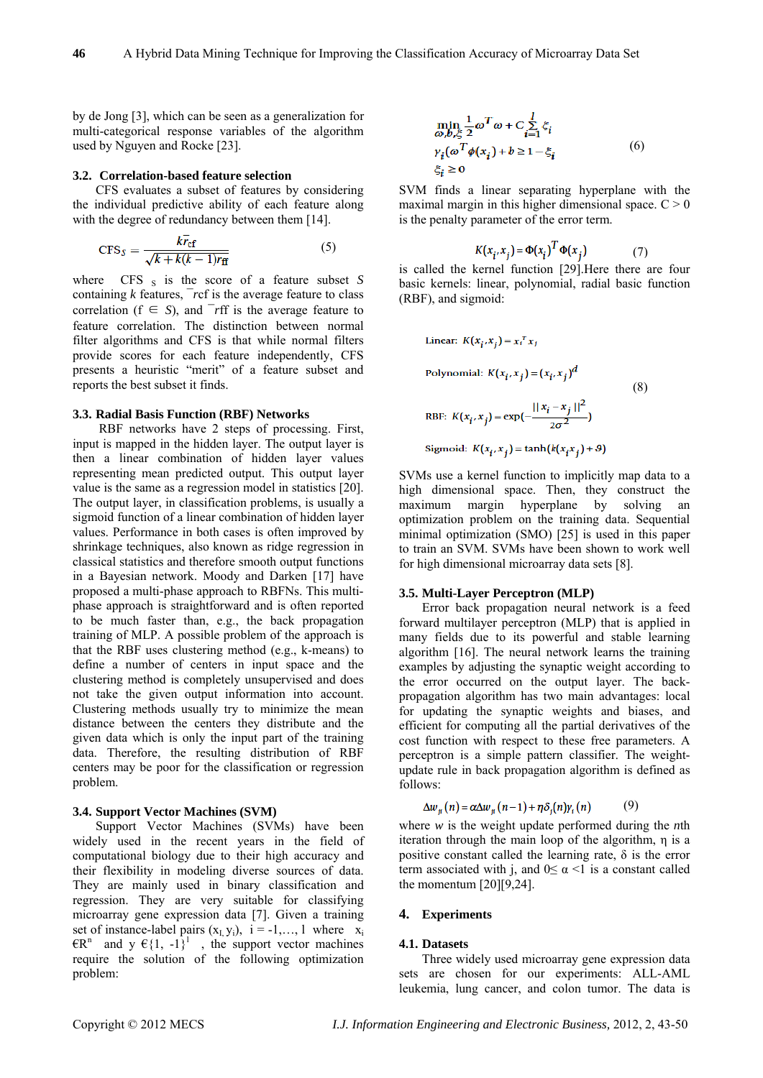by de Jong [3], which can be seen as a generalization for multi-categorical response variables of the algorithm used by Nguyen and Rocke [23].

#### **3.2. Correlation-based feature selection**

CFS evaluates a subset of features by considering the individual predictive ability of each feature along with the degree of redundancy between them [14].

$$
CFS_S = \frac{kr_{\text{cf}}}{\sqrt{k + k(k-1)r_{\text{ff}}}}
$$
(5)

where  $CFS_s$  is the score of a feature subset  $S$ containing  $k$  features,  $\overline{r}$  *rcf* is the average feature to class correlation ( $f \in S$ ), and  $\overline{f}$  *rff* is the average feature to feature correlation. The distinction between normal filter algorithms and CFS is that while normal filters provide scores for each feature independently, CFS presents a heuristic "merit" of a feature subset and reports the best subset it finds.

### **3.3. Radial Basis Function (RBF) Networks**

 RBF networks have 2 steps of processing. First, input is mapped in the hidden layer. The output layer is then a linear combination of hidden layer values representing mean predicted output. This output layer value is the same as a regression model in statistics [20]. The output layer, in classification problems, is usually a sigmoid function of a linear combination of hidden layer values. Performance in both cases is often improved by shrinkage techniques, also known as ridge regression in classical statistics and therefore smooth output functions in a Bayesian network. Moody and Darken [17] have proposed a multi-phase approach to RBFNs. This multiphase approach is straightforward and is often reported to be much faster than, e.g., the back propagation training of MLP. A possible problem of the approach is that the RBF uses clustering method (e.g., k-means) to define a number of centers in input space and the clustering method is completely unsupervised and does not take the given output information into account. Clustering methods usually try to minimize the mean distance between the centers they distribute and the given data which is only the input part of the training data. Therefore, the resulting distribution of RBF centers may be poor for the classification or regression problem.

#### **3.4. Support Vector Machines (SVM)**

Support Vector Machines (SVMs) have been widely used in the recent years in the field of computational biology due to their high accuracy and their flexibility in modeling diverse sources of data. They are mainly used in binary classification and regression. They are very suitable for classifying microarray gene expression data [7]. Given a training set of instance-label pairs  $(x_i, y_i)$ ,  $i = -1, \ldots, 1$  where  $x_i$  $\epsilon \mathbb{R}^n$  and y  $\epsilon \{1, -1\}^1$ , the support vector machines require the solution of the following optimization problem:

$$
\min_{\omega, b, \xi} \frac{1}{2} \omega^T \omega + C \sum_{i=1}^l \xi_i
$$
\n
$$
\gamma_i(\omega^T \phi(x_i) + b \ge 1 - \xi_i)
$$
\n
$$
\xi_i \ge 0
$$
\n(6)

SVM finds a linear separating hyperplane with the maximal margin in this higher dimensional space.  $C > 0$ is the penalty parameter of the error term.

(5) 
$$
K(x_i, x_j) = \Phi(x_i)^T \Phi(x_j)
$$
 (7)

 is called the kernel function [29].Here there are four basic kernels: linear, polynomial, radial basic function (RBF), and sigmoid:

Linear: 
$$
K(x_i, x_j) = x_i^T x_j
$$
  
\nPolynomial:  $K(x_i, x_j) = (x_i, x_j)^d$   
\nRBF:  $K(x_i, x_j) = \exp\left(-\frac{||x_i - x_j||^2}{2\sigma^2}\right)$  (8)

Sigmoid:  $K(x_i, x_j) = \tanh(k(x_i, x_j) + \vartheta)$ 

SVMs use a kernel function to implicitly map data to a high dimensional space. Then, they construct the maximum margin hyperplane by solving an optimization problem on the training data. Sequential minimal optimization (SMO) [25] is used in this paper to train an SVM. SVMs have been shown to work well for high dimensional microarray data sets [8].

#### **3.5. Multi-Layer Perceptron (MLP)**

Error back propagation neural network is a feed forward multilayer perceptron (MLP) that is applied in many fields due to its powerful and stable learning algorithm [16]. The neural network learns the training examples by adjusting the synaptic weight according to the error occurred on the output layer. The backpropagation algorithm has two main advantages: local for updating the synaptic weights and biases, and efficient for computing all the partial derivatives of the cost function with respect to these free parameters. A perceptron is a simple pattern classifier. The weightupdate rule in back propagation algorithm is defined as follows:

$$
\Delta w_{\mu}(n) = \alpha \Delta w_{\mu}(n-1) + \eta \delta_{\mu}(n) \gamma_{\mu}(n) \tag{9}
$$

 where *w* is the weight update performed during the *n*th iteration through the main loop of the algorithm, η is a positive constant called the learning rate,  $\delta$  is the error term associated with j, and  $0 \le \alpha \le 1$  is a constant called the momentum [20][9,24].

#### **4. Experiments**

#### **4.1. Datasets**

Three widely used microarray gene expression data sets are chosen for our experiments: ALL-AML leukemia, lung cancer, and colon tumor. The data is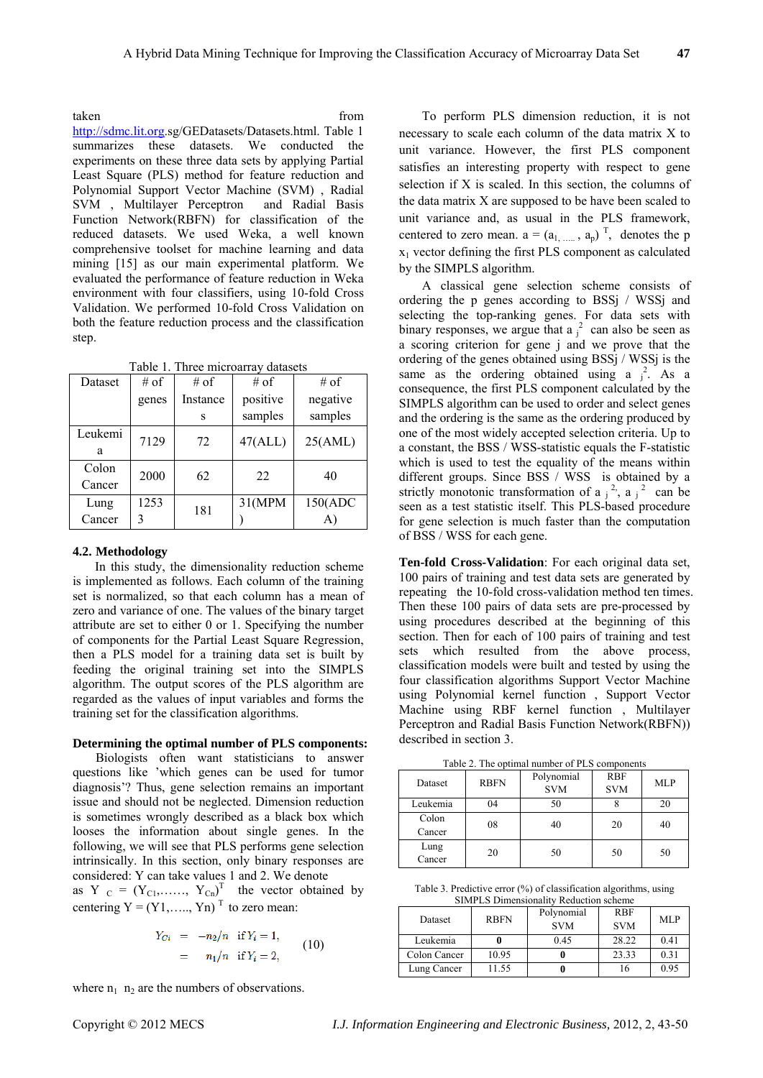taken from the state of the state of the state of the state of the state of the state of the state of the state of the state of the state of the state of the state of the state of the state of the state of the state of the http://sdmc.lit.org.sg/GEDatasets/Datasets.html. Table 1 summarizes these datasets. We conducted the experiments on these three data sets by applying Partial Least Square (PLS) method for feature reduction and Polynomial Support Vector Machine (SVM) , Radial SVM , Multilayer Perceptron and Radial Basis Function Network(RBFN) for classification of the reduced datasets. We used Weka, a well known comprehensive toolset for machine learning and data mining [15] as our main experimental platform. We evaluated the performance of feature reduction in Weka environment with four classifiers, using 10-fold Cross Validation. We performed 10-fold Cross Validation on both the feature reduction process and the classification step.

|  |  |  | Table 1. Three microarray datasets |  |
|--|--|--|------------------------------------|--|
|--|--|--|------------------------------------|--|

| Dataset | # of  | $#$ of   | $#$ of   | # of          |
|---------|-------|----------|----------|---------------|
|         | genes | Instance | positive | negative      |
|         |       | S        | samples  | samples       |
| Leukemi | 7129  | 72       | 47(ALL)  | 25(AML)       |
| a       |       |          |          |               |
| Colon   | 2000  | 62       | 22       | 40            |
| Cancer  |       |          |          |               |
| Lung    | 1253  | 181      | 31(MPM)  | 150(ADC       |
| Cancer  | 3     |          |          | $\mathbf{A})$ |

#### **4.2. Methodology**

 In this study, the dimensionality reduction scheme is implemented as follows. Each column of the training set is normalized, so that each column has a mean of zero and variance of one. The values of the binary target attribute are set to either 0 or 1. Specifying the number of components for the Partial Least Square Regression, then a PLS model for a training data set is built by feeding the original training set into the SIMPLS algorithm. The output scores of the PLS algorithm are regarded as the values of input variables and forms the training set for the classification algorithms.

#### **Determining the optimal number of PLS components:**

Biologists often want statisticians to answer questions like 'which genes can be used for tumor diagnosis'? Thus, gene selection remains an important issue and should not be neglected. Dimension reduction is sometimes wrongly described as a black box which looses the information about single genes. In the following, we will see that PLS performs gene selection intrinsically. In this section, only binary responses are considered: Y can take values 1 and 2. We denote

as Y  $_C = (Y_{C1}, \ldots, Y_{Cn})^T$  the vector obtained by centering  $Y = (Y1, \dots, Yn)^T$  to zero mean:

$$
Y_{Ci} = -n_2/n \text{ if } Y_i = 1,
$$
  
=  $n_1/n \text{ if } Y_i = 2,$  (10)

where  $n_1$   $n_2$  are the numbers of observations.

To perform PLS dimension reduction, it is not necessary to scale each column of the data matrix X to unit variance. However, the first PLS component satisfies an interesting property with respect to gene selection if X is scaled. In this section, the columns of the data matrix X are supposed to be have been scaled to unit variance and, as usual in the PLS framework, centered to zero mean.  $a = (a_{1, \dots, a_p})^T$ , denotes the p  $x_1$  vector defining the first PLS component as calculated by the SIMPLS algorithm.

A classical gene selection scheme consists of ordering the p genes according to BSSj / WSSj and selecting the top-ranking genes. For data sets with binary responses, we argue that  $a_j^2$  can also be seen as a scoring criterion for gene j and we prove that the ordering of the genes obtained using BSSj / WSSj is the same as the ordering obtained using a  $\frac{2}{3}$ . As a consequence, the first PLS component calculated by the SIMPLS algorithm can be used to order and select genes and the ordering is the same as the ordering produced by one of the most widely accepted selection criteria. Up to a constant, the BSS / WSS-statistic equals the F-statistic which is used to test the equality of the means within different groups. Since BSS / WSS is obtained by a strictly monotonic transformation of a  $i^2$ , a  $i^2$  can be seen as a test statistic itself. This PLS-based procedure for gene selection is much faster than the computation of BSS / WSS for each gene.

**Ten-fold Cross-Validation**: For each original data set, 100 pairs of training and test data sets are generated by repeating the 10-fold cross-validation method ten times. Then these 100 pairs of data sets are pre-processed by using procedures described at the beginning of this section. Then for each of 100 pairs of training and test sets which resulted from the above process, classification models were built and tested by using the four classification algorithms Support Vector Machine using Polynomial kernel function , Support Vector Machine using RBF kernel function , Multilayer Perceptron and Radial Basis Function Network(RBFN)) described in section 3.

Table 2. The optimal number of PLS components

| Dataset         | <b>RBFN</b> | Polynomial<br><b>SVM</b> | <b>RBF</b><br><b>SVM</b> | MLP |
|-----------------|-------------|--------------------------|--------------------------|-----|
| Leukemia        | 04          | 50                       |                          | 20  |
| Colon<br>Cancer | 08          | 40                       | 20                       | 40  |
| Lung<br>Cancer  | 20          | 50                       | 50                       | 50  |

Table 3. Predictive error (%) of classification algorithms, using SIMPLS Dimensionality Reduction scheme

| Dataset      | <b>RBFN</b> | Polynomial<br><b>SVM</b> | <b>RBF</b><br><b>SVM</b> | MLP  |
|--------------|-------------|--------------------------|--------------------------|------|
| Leukemia     |             | 0.45                     | 28.22                    | 0.41 |
| Colon Cancer | 10.95       |                          | 23.33                    | 0.31 |
| Lung Cancer  | 11.55       |                          | 16                       | 0.95 |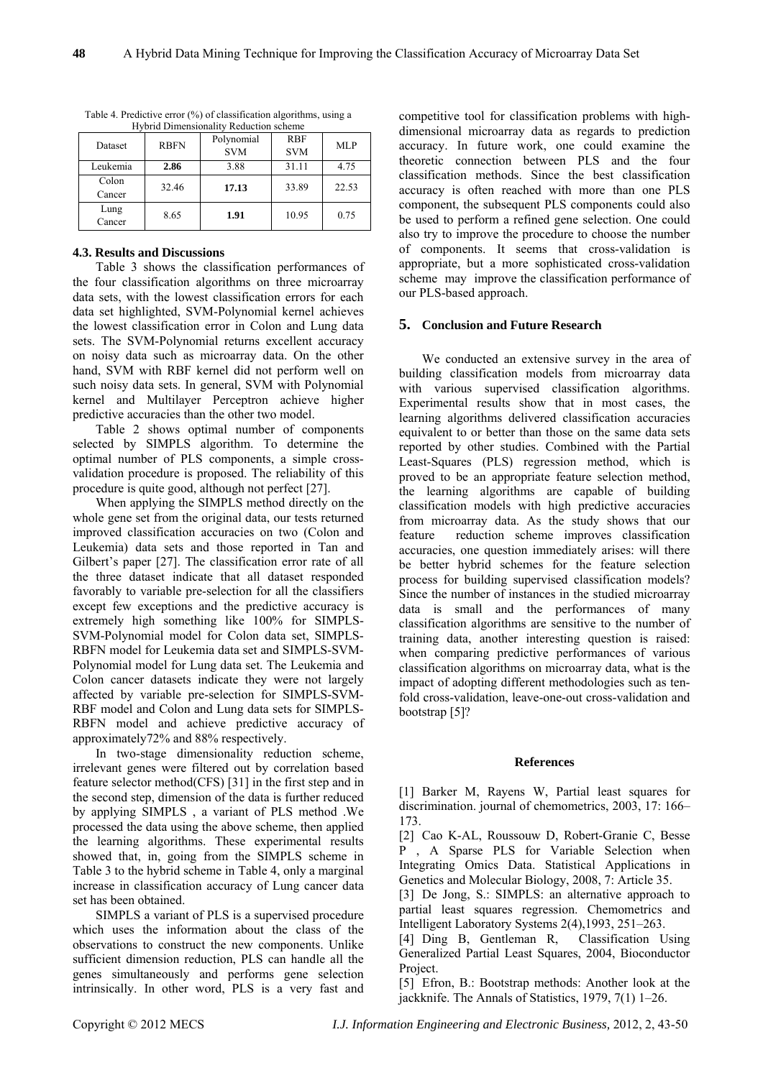| Dataset  | <b>RBFN</b> | Polynomial | <b>RBF</b> | <b>MLP</b> |
|----------|-------------|------------|------------|------------|
|          |             | <b>SVM</b> | <b>SVM</b> |            |
| Leukemia | 2.86        | 3.88       | 31.11      | 4.75       |
| Colon    | 32.46       | 17.13      | 33.89      | 22.53      |
| Cancer   |             |            |            |            |
| Lung     | 8.65        | 1.91       | 10.95      | 0.75       |
| Cancer   |             |            |            |            |

Table 4. Predictive error (%) of classification algorithms, using a Hybrid Dimensionality Reduction scheme

## **4.3. Results and Discussions**

Table 3 shows the classification performances of the four classification algorithms on three microarray data sets, with the lowest classification errors for each data set highlighted, SVM-Polynomial kernel achieves the lowest classification error in Colon and Lung data sets. The SVM-Polynomial returns excellent accuracy on noisy data such as microarray data. On the other hand, SVM with RBF kernel did not perform well on such noisy data sets. In general, SVM with Polynomial kernel and Multilayer Perceptron achieve higher predictive accuracies than the other two model.

Table 2 shows optimal number of components selected by SIMPLS algorithm. To determine the optimal number of PLS components, a simple crossvalidation procedure is proposed. The reliability of this procedure is quite good, although not perfect [27].

When applying the SIMPLS method directly on the whole gene set from the original data, our tests returned improved classification accuracies on two (Colon and Leukemia) data sets and those reported in Tan and Gilbert's paper [27]. The classification error rate of all the three dataset indicate that all dataset responded favorably to variable pre-selection for all the classifiers except few exceptions and the predictive accuracy is extremely high something like 100% for SIMPLS-SVM-Polynomial model for Colon data set, SIMPLS-RBFN model for Leukemia data set and SIMPLS-SVM-Polynomial model for Lung data set. The Leukemia and Colon cancer datasets indicate they were not largely affected by variable pre-selection for SIMPLS-SVM-RBF model and Colon and Lung data sets for SIMPLS-RBFN model and achieve predictive accuracy of approximately72% and 88% respectively.

In two-stage dimensionality reduction scheme, irrelevant genes were filtered out by correlation based feature selector method(CFS) [31] in the first step and in the second step, dimension of the data is further reduced by applying SIMPLS , a variant of PLS method .We processed the data using the above scheme, then applied the learning algorithms. These experimental results showed that, in, going from the SIMPLS scheme in Table 3 to the hybrid scheme in Table 4, only a marginal increase in classification accuracy of Lung cancer data set has been obtained.

SIMPLS a variant of PLS is a supervised procedure which uses the information about the class of the observations to construct the new components. Unlike sufficient dimension reduction, PLS can handle all the genes simultaneously and performs gene selection intrinsically. In other word, PLS is a very fast and competitive tool for classification problems with highdimensional microarray data as regards to prediction accuracy. In future work, one could examine the theoretic connection between PLS and the four classification methods. Since the best classification accuracy is often reached with more than one PLS component, the subsequent PLS components could also be used to perform a refined gene selection. One could also try to improve the procedure to choose the number of components. It seems that cross-validation is appropriate, but a more sophisticated cross-validation scheme may improve the classification performance of our PLS-based approach.

## **5. Conclusion and Future Research**

We conducted an extensive survey in the area of building classification models from microarray data with various supervised classification algorithms. Experimental results show that in most cases, the learning algorithms delivered classification accuracies equivalent to or better than those on the same data sets reported by other studies. Combined with the Partial Least-Squares (PLS) regression method, which is proved to be an appropriate feature selection method, the learning algorithms are capable of building classification models with high predictive accuracies from microarray data. As the study shows that our feature reduction scheme improves classification accuracies, one question immediately arises: will there be better hybrid schemes for the feature selection process for building supervised classification models? Since the number of instances in the studied microarray data is small and the performances of many classification algorithms are sensitive to the number of training data, another interesting question is raised: when comparing predictive performances of various classification algorithms on microarray data, what is the impact of adopting different methodologies such as tenfold cross-validation, leave-one-out cross-validation and bootstrap [5]?

## **References**

[1] Barker M, Rayens W, Partial least squares for discrimination. journal of chemometrics, 2003, 17: 166– 173.

[2] Cao K-AL, Roussouw D, Robert-Granie C, Besse P , A Sparse PLS for Variable Selection when Integrating Omics Data. Statistical Applications in Genetics and Molecular Biology, 2008, 7: Article 35.

[3] De Jong, S.: SIMPLS: an alternative approach to partial least squares regression. Chemometrics and Intelligent Laboratory Systems 2(4),1993, 251–263.

[4] Ding B, Gentleman R, Classification Using Generalized Partial Least Squares, 2004, Bioconductor Project.

[5] Efron, B.: Bootstrap methods: Another look at the jackknife. The Annals of Statistics, 1979, 7(1) 1–26.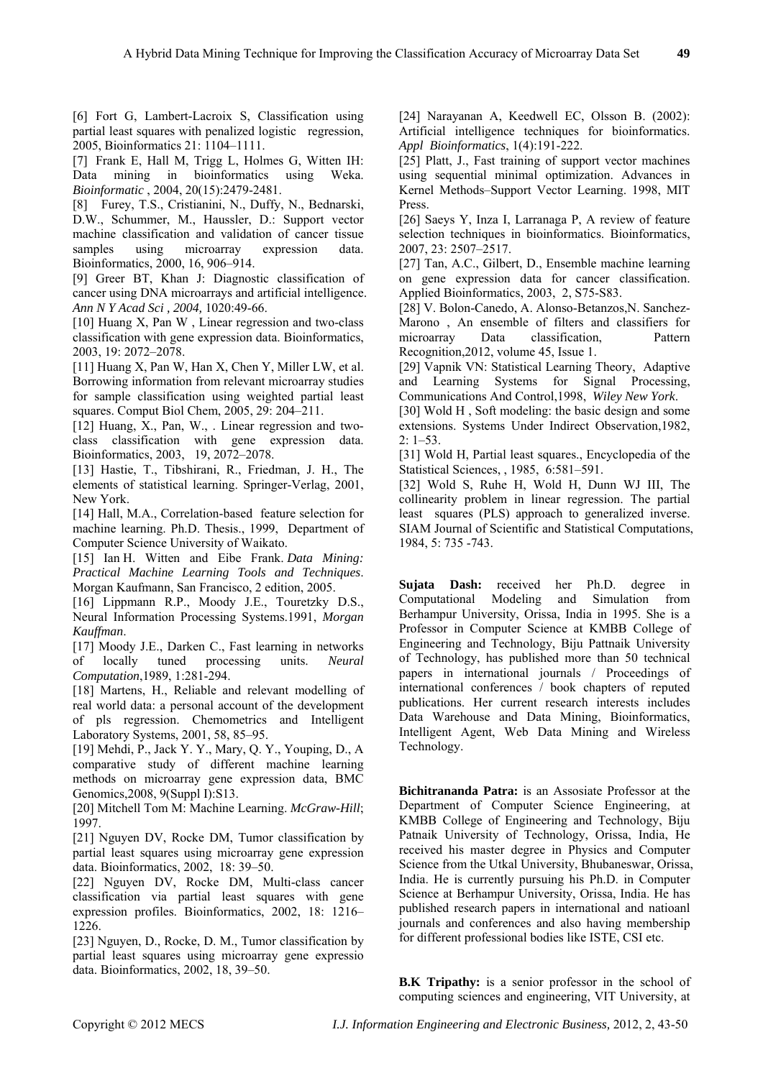[6] Fort G, Lambert-Lacroix S, Classification using partial least squares with penalized logistic regression, 2005, Bioinformatics 21: 1104–1111.

[7] Frank E, Hall M, Trigg L, Holmes G, Witten IH: Data mining in bioinformatics using Weka. *Bioinformatic* , 2004, 20(15):2479-2481.

[8] Furey, T.S., Cristianini, N., Duffy, N., Bednarski, D.W., Schummer, M., Haussler, D.: Support vector machine classification and validation of cancer tissue samples using microarray expression data. Bioinformatics, 2000, 16, 906–914.

[9] Greer BT, Khan J: Diagnostic classification of cancer using DNA microarrays and artificial intelligence. *Ann N Y Acad Sci , 2004,* 1020:49-66.

[10] Huang X, Pan W, Linear regression and two-class classification with gene expression data. Bioinformatics, 2003, 19: 2072–2078.

[11] Huang X, Pan W, Han X, Chen Y, Miller LW, et al. Borrowing information from relevant microarray studies for sample classification using weighted partial least squares. Comput Biol Chem, 2005, 29: 204–211.

[12] Huang, X., Pan, W., . Linear regression and twoclass classification with gene expression data. Bioinformatics, 2003, 19, 2072–2078.

[13] Hastie, T., Tibshirani, R., Friedman, J. H., The elements of statistical learning. Springer-Verlag, 2001, New York.

[14] Hall, M.A., Correlation-based feature selection for machine learning. Ph.D. Thesis., 1999, Department of Computer Science University of Waikato.

[15] Ian H. Witten and Eibe Frank. *Data Mining: Practical Machine Learning Tools and Techniques*. Morgan Kaufmann, San Francisco, 2 edition, 2005.

[16] Lippmann R.P., Moody J.E., Touretzky D.S., Neural Information Processing Systems.1991, *Morgan Kauffman*.

[17] Moody J.E., Darken C., Fast learning in networks of locally tuned processing units. *Neural Computation*,1989, 1:281-294.

[18] Martens, H., Reliable and relevant modelling of real world data: a personal account of the development of pls regression. Chemometrics and Intelligent Laboratory Systems, 2001, 58, 85–95.

[19] Mehdi, P., Jack Y. Y., Mary, Q. Y., Youping, D., A comparative study of different machine learning methods on microarray gene expression data, BMC Genomics,2008, 9(Suppl I):S13.

[20] Mitchell Tom M: Machine Learning. *McGraw-Hill*; 1997.

[21] Nguyen DV, Rocke DM, Tumor classification by partial least squares using microarray gene expression data. Bioinformatics, 2002, 18: 39–50.

[22] Nguyen DV, Rocke DM, Multi-class cancer classification via partial least squares with gene expression profiles. Bioinformatics, 2002, 18: 1216– 1226.

[23] Nguyen, D., Rocke, D. M., Tumor classification by partial least squares using microarray gene expressio data. Bioinformatics, 2002, 18, 39–50.

[24] Narayanan A, Keedwell EC, Olsson B. (2002): Artificial intelligence techniques for bioinformatics. *Appl Bioinformatics*, 1(4):191-222.

[25] Platt, J., Fast training of support vector machines using sequential minimal optimization. Advances in Kernel Methods–Support Vector Learning. 1998, MIT Press.

[26] Saeys Y, Inza I, Larranaga P, A review of feature selection techniques in bioinformatics. Bioinformatics, 2007, 23: 2507–2517.

[27] Tan, A.C., Gilbert, D., Ensemble machine learning on gene expression data for cancer classification. Applied Bioinformatics, 2003, 2, S75-S83.

[28] V. Bolon-Canedo, A. Alonso-Betanzos,N. Sanchez-Marono , An ensemble of filters and classifiers for microarray Data classification, Pattern Recognition,2012, volume 45, Issue 1.

[29] Vapnik VN: Statistical Learning Theory, Adaptive and Learning Systems for Signal Processing, Communications And Control,1998, *Wiley New York*.

[30] Wold H, Soft modeling: the basic design and some extensions. Systems Under Indirect Observation,1982, 2: 1–53.

[31] Wold H, Partial least squares., Encyclopedia of the Statistical Sciences, , 1985, 6:581–591.

[32] Wold S, Ruhe H, Wold H, Dunn WJ III, The collinearity problem in linear regression. The partial least squares (PLS) approach to generalized inverse. SIAM Journal of Scientific and Statistical Computations, 1984, 5: 735 -743.

**Sujata Dash:** received her Ph.D. degree in Computational Modeling and Simulation from Berhampur University, Orissa, India in 1995. She is a Professor in Computer Science at KMBB College of Engineering and Technology, Biju Pattnaik University of Technology, has published more than 50 technical papers in international journals / Proceedings of international conferences / book chapters of reputed publications. Her current research interests includes Data Warehouse and Data Mining, Bioinformatics, Intelligent Agent, Web Data Mining and Wireless Technology.

**Bichitrananda Patra:** is an Assosiate Professor at the Department of Computer Science Engineering, at KMBB College of Engineering and Technology, Biju Patnaik University of Technology, Orissa, India, He received his master degree in Physics and Computer Science from the Utkal University, Bhubaneswar, Orissa, India. He is currently pursuing his Ph.D. in Computer Science at Berhampur University, Orissa, India. He has published research papers in international and natioanl journals and conferences and also having membership for different professional bodies like ISTE, CSI etc.

**B.K Tripathy:** is a senior professor in the school of computing sciences and engineering, VIT University, at